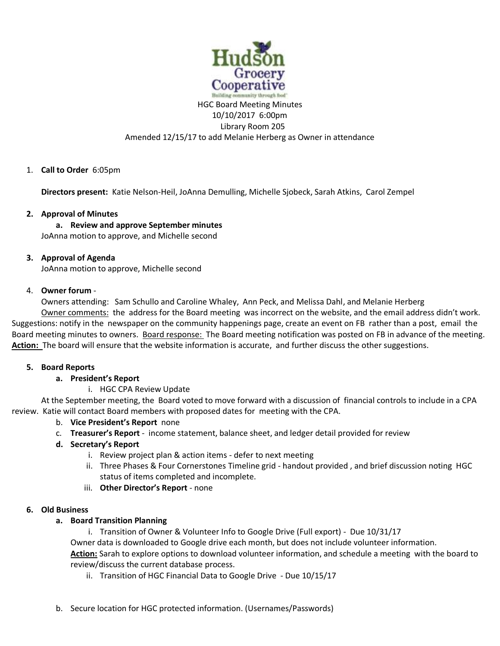

# HGC Board Meeting Minutes 10/10/2017 6:00pm Library Room 205 Amended 12/15/17 to add Melanie Herberg as Owner in attendance

# 1. **Call to Order** 6:05pm

**Directors present:** Katie Nelson-Heil, JoAnna Demulling, Michelle Sjobeck, Sarah Atkins, Carol Zempel

### **2. Approval of Minutes**

**a. Review and approve September minutes** JoAnna motion to approve, and Michelle second

### **3. Approval of Agenda**

JoAnna motion to approve, Michelle second

### 4. **Owner forum** -

Owners attending: Sam Schullo and Caroline Whaley, Ann Peck, and Melissa Dahl, and Melanie Herberg

Owner comments: the address for the Board meeting was incorrect on the website, and the email address didn't work. Suggestions: notify in the newspaper on the community happenings page, create an event on FB rather than a post, email the Board meeting minutes to owners. Board response: The Board meeting notification was posted on FB in advance of the meeting. Action: The board will ensure that the website information is accurate, and further discuss the other suggestions.

### **5. Board Reports**

### **a. President's Report**

### i. HGC CPA Review Update

At the September meeting, the Board voted to move forward with a discussion of financial controls to include in a CPA review. Katie will contact Board members with proposed dates for meeting with the CPA.

### b. **Vice President's Report** none

c. **Treasurer's Report** - income statement, balance sheet, and ledger detail provided for review

# **d. Secretary's Report**

- i. Review project plan & action items defer to next meeting
- ii. Three Phases & Four Cornerstones Timeline grid handout provided , and brief discussion noting HGC status of items completed and incomplete.
- iii. **Other Director's Report** none

### **6. Old Business**

### **a. Board Transition Planning**

i. Transition of Owner & Volunteer Info to Google Drive (Full export) - Due 10/31/17 Owner data is downloaded to Google drive each month, but does not include volunteer information. **Action:** Sarah to explore options to download volunteer information, and schedule a meeting with the board to review/discuss the current database process.

- ii. Transition of HGC Financial Data to Google Drive Due 10/15/17
- b. Secure location for HGC protected information. (Usernames/Passwords)